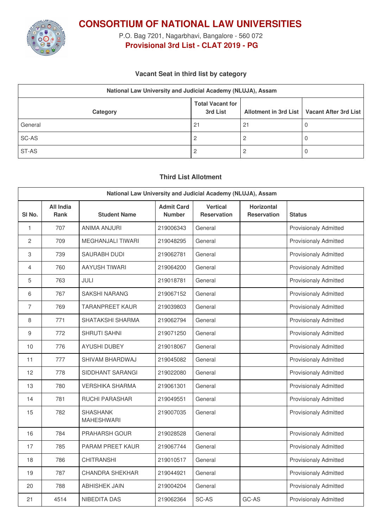

**CONSORTIUM OF NATIONAL LAW UNIVERSITIES**

P.O. Bag 7201, Nagarbhavi, Bangalore - 560 072 **Provisional 3rd List - CLAT 2019 - PG**

### **Vacant Seat in third list by category**

| National Law University and Judicial Academy (NLUJA), Assam |                                     |    |                                               |  |  |
|-------------------------------------------------------------|-------------------------------------|----|-----------------------------------------------|--|--|
| Category                                                    | <b>Total Vacant for</b><br>3rd List |    | Allotment in 3rd List   Vacant After 3rd List |  |  |
| General                                                     | 21                                  | 21 |                                               |  |  |
| SC-AS                                                       |                                     |    |                                               |  |  |
| ST-AS                                                       |                                     |    |                                               |  |  |

## **Third List Allotment**

| National Law University and Judicial Academy (NLUJA), Assam |                                 |                                      |                                    |                                       |                                         |                              |
|-------------------------------------------------------------|---------------------------------|--------------------------------------|------------------------------------|---------------------------------------|-----------------------------------------|------------------------------|
| SI <sub>No.</sub>                                           | <b>All India</b><br><b>Rank</b> | <b>Student Name</b>                  | <b>Admit Card</b><br><b>Number</b> | <b>Vertical</b><br><b>Reservation</b> | <b>Horizontal</b><br><b>Reservation</b> | <b>Status</b>                |
| 1                                                           | 707                             | <b>ANIMA ANJURI</b>                  | 219006343                          | General                               |                                         | <b>Provisionaly Admitted</b> |
| $\overline{c}$                                              | 709                             | <b>MEGHANJALI TIWARI</b>             | 219048295                          | General                               |                                         | <b>Provisionaly Admitted</b> |
| 3                                                           | 739                             | <b>SAURABH DUDI</b>                  | 219062781                          | General                               |                                         | <b>Provisionaly Admitted</b> |
| $\overline{4}$                                              | 760                             | AAYUSH TIWARI                        | 219064200                          | General                               |                                         | <b>Provisionaly Admitted</b> |
| 5                                                           | 763                             | JULI                                 | 219018781                          | General                               |                                         | Provisionaly Admitted        |
| 6                                                           | 767                             | <b>SAKSHI NARANG</b>                 | 219067152                          | General                               |                                         | <b>Provisionaly Admitted</b> |
| $\overline{7}$                                              | 769                             | <b>TARANPREET KAUR</b>               | 219039803                          | General                               |                                         | <b>Provisionaly Admitted</b> |
| 8                                                           | 771                             | SHATAKSHI SHARMA                     | 219062794                          | General                               |                                         | Provisionaly Admitted        |
| 9                                                           | 772                             | SHRUTI SAHNI                         | 219071250                          | General                               |                                         | <b>Provisionaly Admitted</b> |
| 10                                                          | 776                             | <b>AYUSHI DUBEY</b>                  | 219018067                          | General                               |                                         | <b>Provisionaly Admitted</b> |
| 11                                                          | 777                             | SHIVAM BHARDWAJ                      | 219045082                          | General                               |                                         | <b>Provisionaly Admitted</b> |
| 12                                                          | 778                             | SIDDHANT SARANGI                     | 219022080                          | General                               |                                         | <b>Provisionaly Admitted</b> |
| 13                                                          | 780                             | <b>VERSHIKA SHARMA</b>               | 219061301                          | General                               |                                         | <b>Provisionaly Admitted</b> |
| 14                                                          | 781                             | <b>RUCHI PARASHAR</b>                | 219049551                          | General                               |                                         | <b>Provisionaly Admitted</b> |
| 15                                                          | 782                             | <b>SHASHANK</b><br><b>MAHESHWARI</b> | 219007035                          | General                               |                                         | <b>Provisionaly Admitted</b> |
| 16                                                          | 784                             | PRAHARSH GOUR                        | 219028528                          | General                               |                                         | <b>Provisionaly Admitted</b> |
| 17                                                          | 785                             | PARAM PREET KAUR                     | 219067744                          | General                               |                                         | <b>Provisionaly Admitted</b> |
| 18                                                          | 786                             | <b>CHITRANSHI</b>                    | 219010517                          | General                               |                                         | <b>Provisionaly Admitted</b> |
| 19                                                          | 787                             | <b>CHANDRA SHEKHAR</b>               | 219044921                          | General                               |                                         | <b>Provisionaly Admitted</b> |
| 20                                                          | 788                             | <b>ABHISHEK JAIN</b>                 | 219004204                          | General                               |                                         | <b>Provisionaly Admitted</b> |
| 21                                                          | 4514                            | NIBEDITA DAS                         | 219062364                          | SC-AS                                 | GC-AS                                   | <b>Provisionaly Admitted</b> |